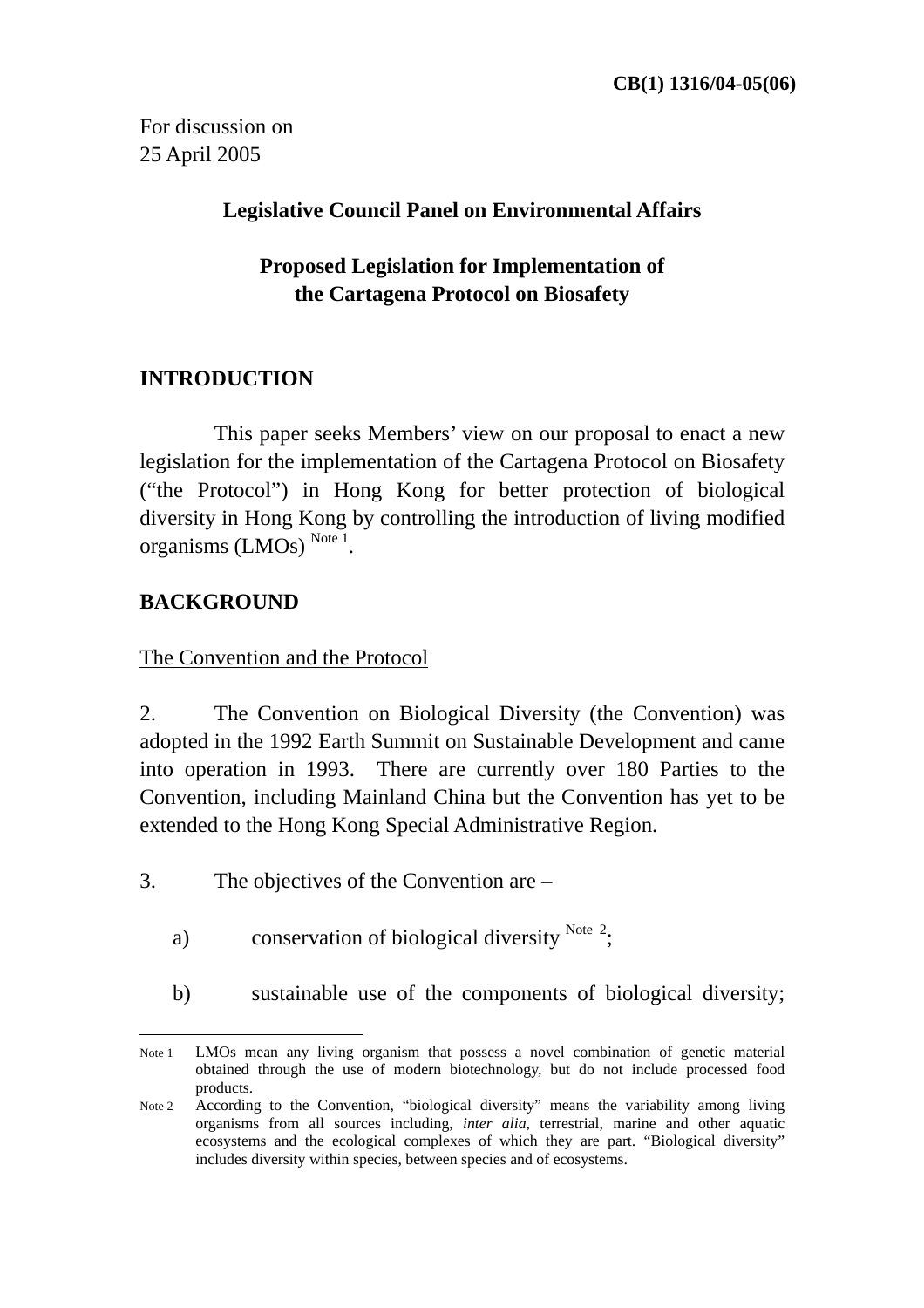For discussion on 25 April 2005

#### **Legislative Council Panel on Environmental Affairs**

# **Proposed Legislation for Implementation of the Cartagena Protocol on Biosafety**

## **INTRODUCTION**

 This paper seeks Members' view on our proposal to enact a new legislation for the implementation of the Cartagena Protocol on Biosafety ("the Protocol") in Hong Kong for better protection of biological diversity in Hong Kong by controlling the introduction of living modified organisms  $(LMOs)$ <sup>Note 1</sup>

### **BACKGROUND**

The Convention and the Protocol

2. The Convention on Biological Diversity (the Convention) was adopted in the 1992 Earth Summit on Sustainable Development and came into operation in 1993. There are currently over 180 Parties to the Convention, including Mainland China but the Convention has yet to be extended to the Hong Kong Special Administrative Region.

- 3. The objectives of the Convention are
	- a) conservation of biological diversity  $^{Note 2}$ ;
	- b) sustainable use of the components of biological diversity;

 $\overline{a}$ Note 1 LMOs mean any living organism that possess a novel combination of genetic material obtained through the use of modern biotechnology, but do not include processed food products.

Note 2 According to the Convention, "biological diversity" means the variability among living organisms from all sources including, *inter alia*, terrestrial, marine and other aquatic ecosystems and the ecological complexes of which they are part. "Biological diversity" includes diversity within species, between species and of ecosystems.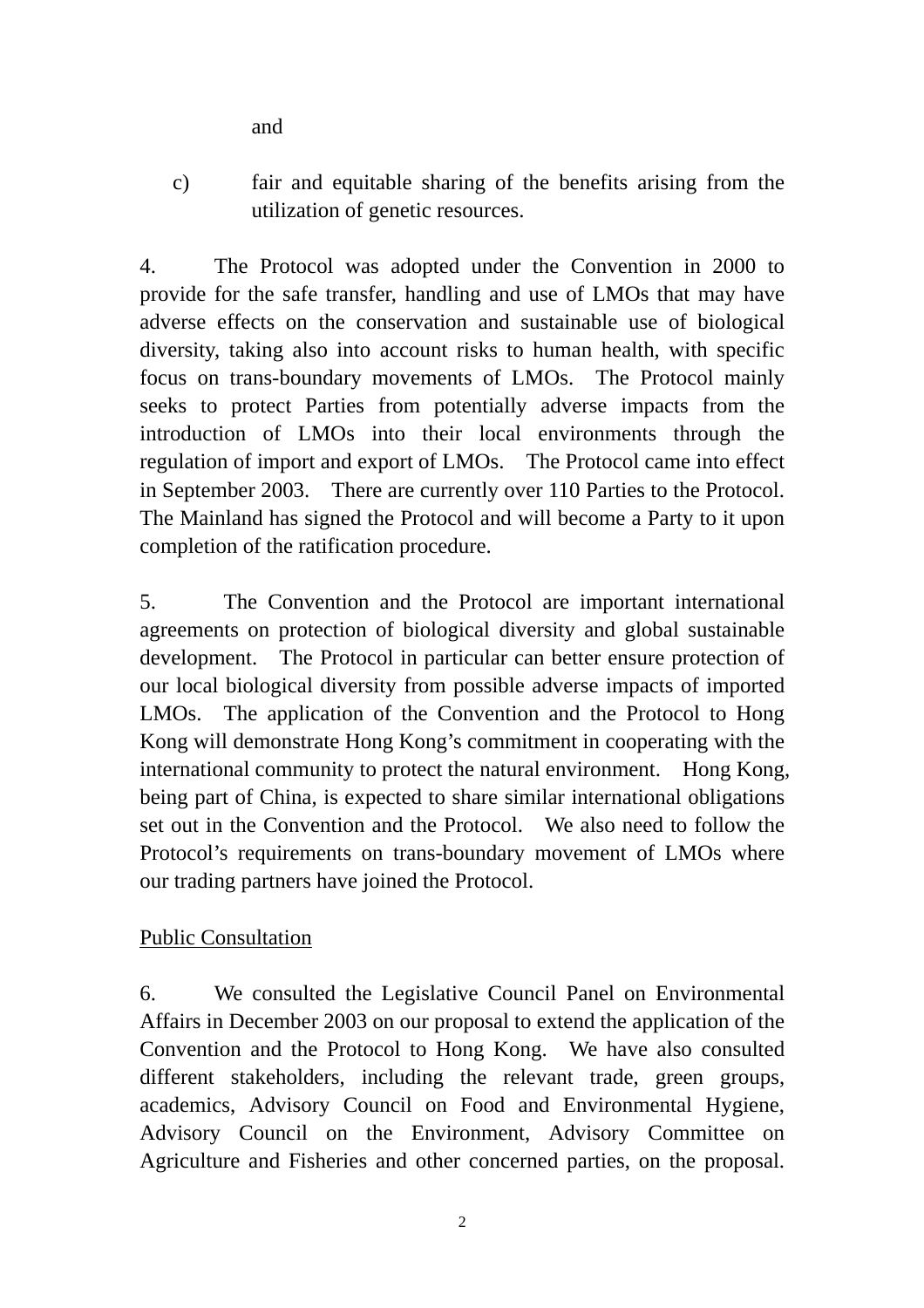and

c) fair and equitable sharing of the benefits arising from the utilization of genetic resources.

4. The Protocol was adopted under the Convention in 2000 to provide for the safe transfer, handling and use of LMOs that may have adverse effects on the conservation and sustainable use of biological diversity, taking also into account risks to human health, with specific focus on trans-boundary movements of LMOs. The Protocol mainly seeks to protect Parties from potentially adverse impacts from the introduction of LMOs into their local environments through the regulation of import and export of LMOs. The Protocol came into effect in September 2003. There are currently over 110 Parties to the Protocol. The Mainland has signed the Protocol and will become a Party to it upon completion of the ratification procedure.

5. The Convention and the Protocol are important international agreements on protection of biological diversity and global sustainable development. The Protocol in particular can better ensure protection of our local biological diversity from possible adverse impacts of imported LMOs. The application of the Convention and the Protocol to Hong Kong will demonstrate Hong Kong's commitment in cooperating with the international community to protect the natural environment. Hong Kong, being part of China, is expected to share similar international obligations set out in the Convention and the Protocol. We also need to follow the Protocol's requirements on trans-boundary movement of LMOs where our trading partners have joined the Protocol.

### Public Consultation

6. We consulted the Legislative Council Panel on Environmental Affairs in December 2003 on our proposal to extend the application of the Convention and the Protocol to Hong Kong. We have also consulted different stakeholders, including the relevant trade, green groups, academics, Advisory Council on Food and Environmental Hygiene, Advisory Council on the Environment, Advisory Committee on Agriculture and Fisheries and other concerned parties, on the proposal.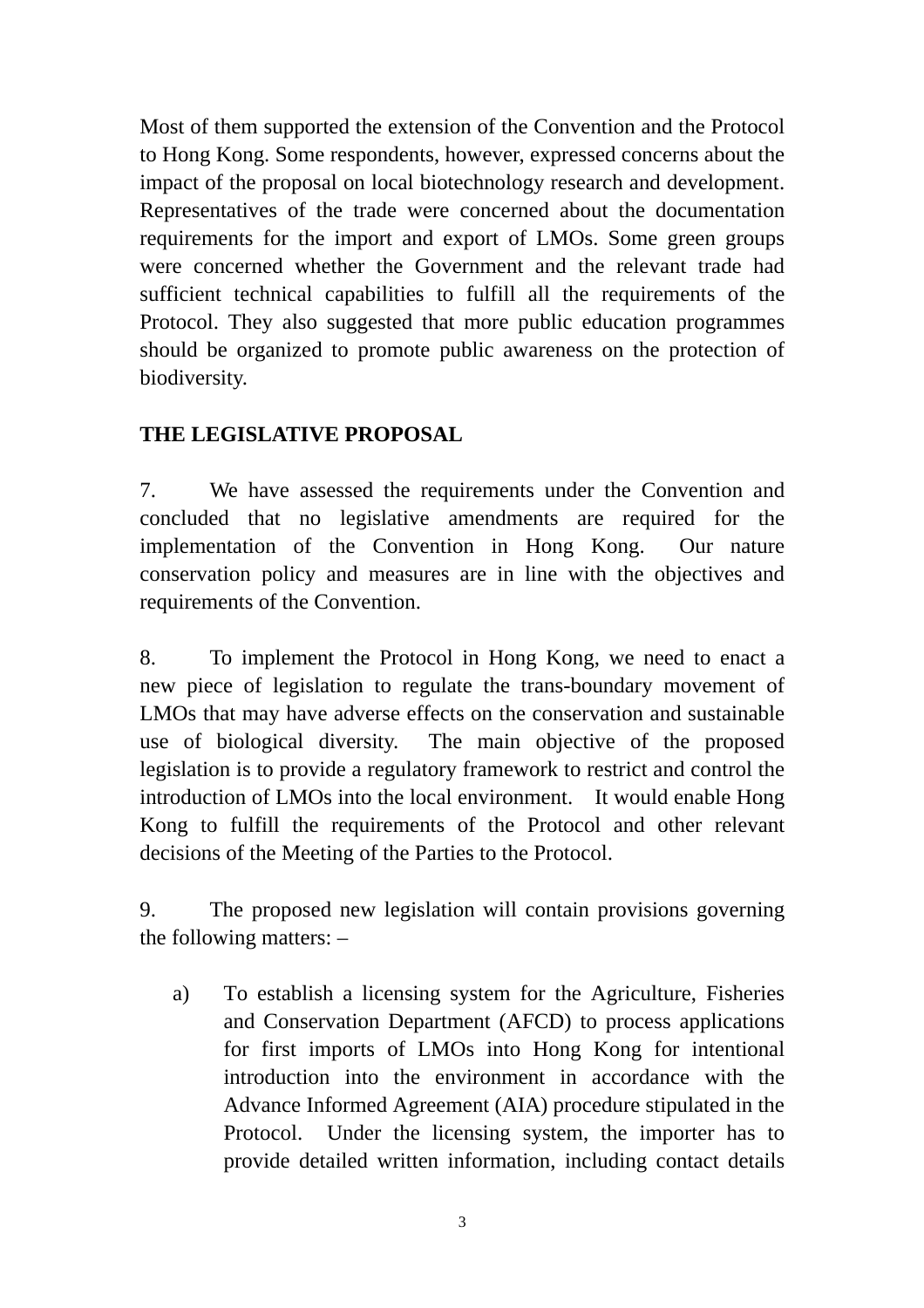Most of them supported the extension of the Convention and the Protocol to Hong Kong. Some respondents, however, expressed concerns about the impact of the proposal on local biotechnology research and development. Representatives of the trade were concerned about the documentation requirements for the import and export of LMOs. Some green groups were concerned whether the Government and the relevant trade had sufficient technical capabilities to fulfill all the requirements of the Protocol. They also suggested that more public education programmes should be organized to promote public awareness on the protection of biodiversity.

## **THE LEGISLATIVE PROPOSAL**

7. We have assessed the requirements under the Convention and concluded that no legislative amendments are required for the implementation of the Convention in Hong Kong. Our nature conservation policy and measures are in line with the objectives and requirements of the Convention.

8. To implement the Protocol in Hong Kong, we need to enact a new piece of legislation to regulate the trans-boundary movement of LMOs that may have adverse effects on the conservation and sustainable use of biological diversity. The main objective of the proposed legislation is to provide a regulatory framework to restrict and control the introduction of LMOs into the local environment. It would enable Hong Kong to fulfill the requirements of the Protocol and other relevant decisions of the Meeting of the Parties to the Protocol.

9. The proposed new legislation will contain provisions governing the following matters: –

a) To establish a licensing system for the Agriculture, Fisheries and Conservation Department (AFCD) to process applications for first imports of LMOs into Hong Kong for intentional introduction into the environment in accordance with the Advance Informed Agreement (AIA) procedure stipulated in the Protocol. Under the licensing system, the importer has to provide detailed written information, including contact details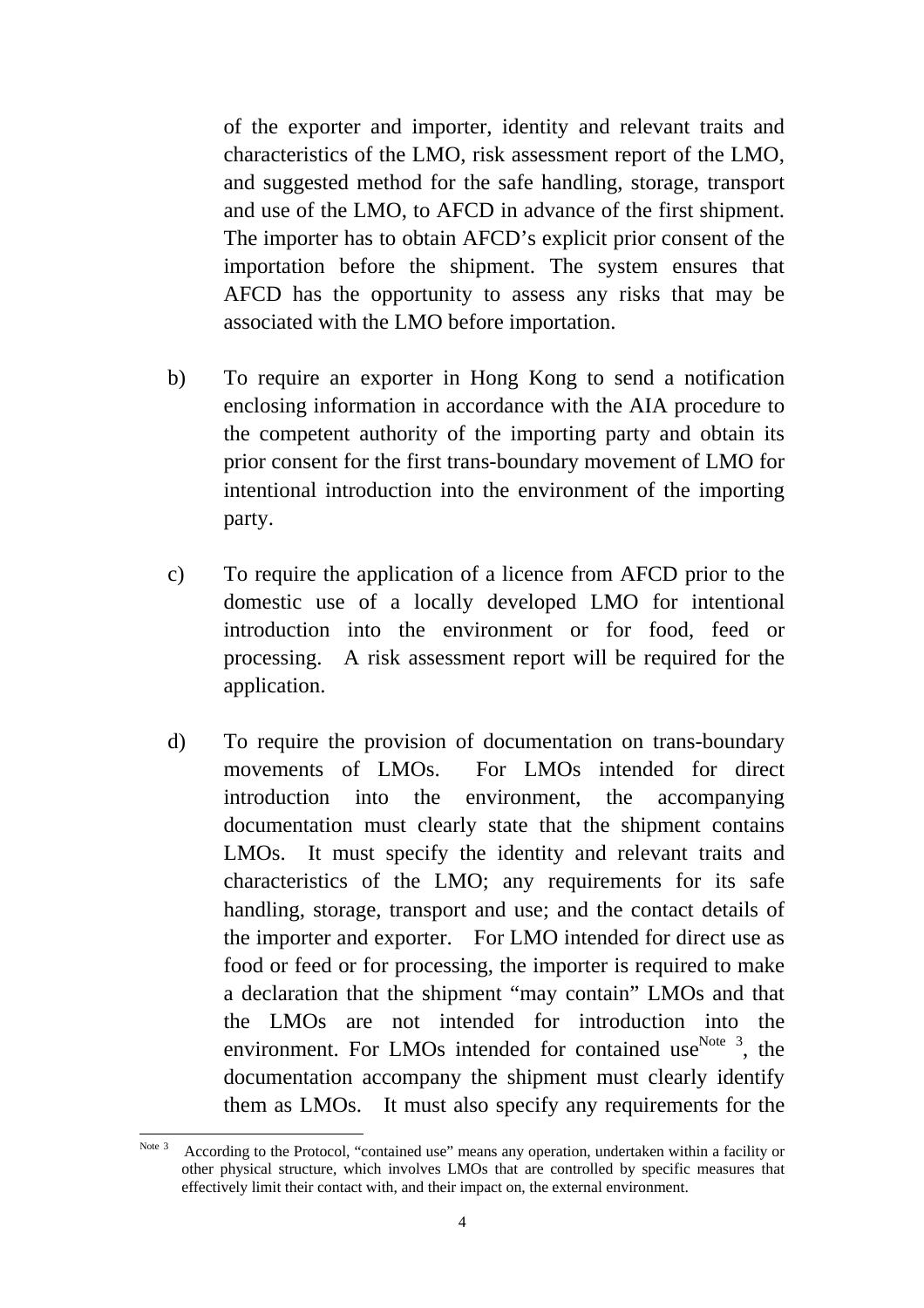of the exporter and importer, identity and relevant traits and characteristics of the LMO, risk assessment report of the LMO, and suggested method for the safe handling, storage, transport and use of the LMO, to AFCD in advance of the first shipment. The importer has to obtain AFCD's explicit prior consent of the importation before the shipment. The system ensures that AFCD has the opportunity to assess any risks that may be associated with the LMO before importation.

- b) To require an exporter in Hong Kong to send a notification enclosing information in accordance with the AIA procedure to the competent authority of the importing party and obtain its prior consent for the first trans-boundary movement of LMO for intentional introduction into the environment of the importing party.
- c) To require the application of a licence from AFCD prior to the domestic use of a locally developed LMO for intentional introduction into the environment or for food, feed or processing. A risk assessment report will be required for the application.
- d) To require the provision of documentation on trans-boundary movements of LMOs. For LMOs intended for direct introduction into the environment, the accompanying documentation must clearly state that the shipment contains LMOs. It must specify the identity and relevant traits and characteristics of the LMO; any requirements for its safe handling, storage, transport and use; and the contact details of the importer and exporter. For LMO intended for direct use as food or feed or for processing, the importer is required to make a declaration that the shipment "may contain" LMOs and that the LMOs are not intended for introduction into the environment. For LMOs intended for contained use  $N^{Oote}$  3, the documentation accompany the shipment must clearly identify them as LMOs. It must also specify any requirements for the

 Note 3 According to the Protocol, "contained use" means any operation, undertaken within a facility or other physical structure, which involves LMOs that are controlled by specific measures that effectively limit their contact with, and their impact on, the external environment.